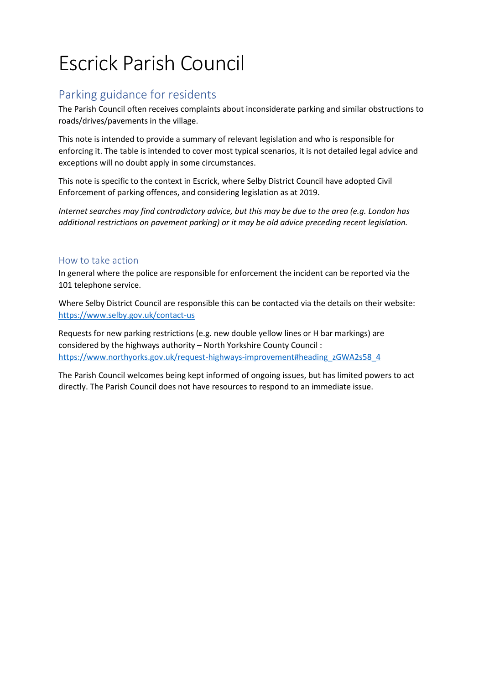## Escrick Parish Council

## Parking guidance for residents

The Parish Council often receives complaints about inconsiderate parking and similar obstructions to roads/drives/pavements in the village.

This note is intended to provide a summary of relevant legislation and who is responsible for enforcing it. The table is intended to cover most typical scenarios, it is not detailed legal advice and exceptions will no doubt apply in some circumstances.

This note is specific to the context in Escrick, where Selby District Council have adopted Civil Enforcement of parking offences, and considering legislation as at 2019.

*Internet searches may find contradictory advice, but this may be due to the area (e.g. London has additional restrictions on pavement parking) or it may be old advice preceding recent legislation.*

## How to take action

In general where the police are responsible for enforcement the incident can be reported via the 101 telephone service.

Where Selby District Council are responsible this can be contacted via the details on their website: <https://www.selby.gov.uk/contact-us>

Requests for new parking restrictions (e.g. new double yellow lines or H bar markings) are considered by the highways authority – North Yorkshire County Council : [https://www.northyorks.gov.uk/request-highways-improvement#heading\\_zGWA2s58\\_4](https://www.northyorks.gov.uk/request-highways-improvement#heading_zGWA2s58_4)

The Parish Council welcomes being kept informed of ongoing issues, but has limited powers to act directly. The Parish Council does not have resources to respond to an immediate issue.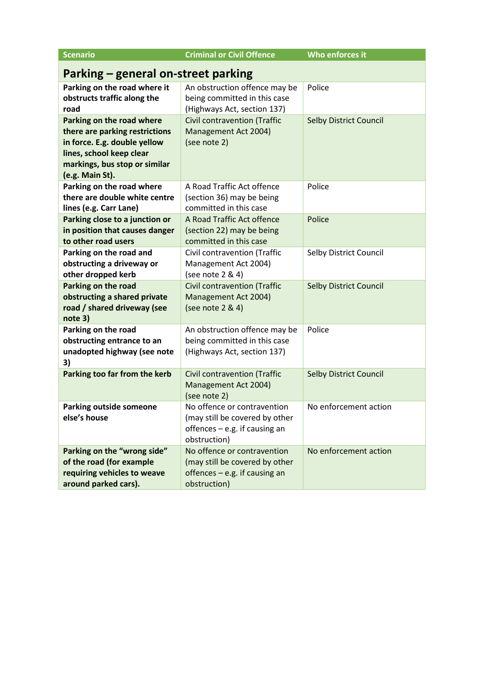| <b>Scenario</b>                                                                                                                                                             | <b>Criminal or Civil Offence</b>                                                                                 | Who enforces it               |
|-----------------------------------------------------------------------------------------------------------------------------------------------------------------------------|------------------------------------------------------------------------------------------------------------------|-------------------------------|
| Parking – general on-street parking                                                                                                                                         |                                                                                                                  |                               |
| Parking on the road where it<br>obstructs traffic along the<br>road                                                                                                         | An obstruction offence may be<br>being committed in this case<br>(Highways Act, section 137)                     | Police                        |
| Parking on the road where<br>there are parking restrictions<br>in force. E.g. double yellow<br>lines, school keep clear<br>markings, bus stop or similar<br>(e.g. Main St). | <b>Civil contravention (Traffic</b><br>Management Act 2004)<br>(see note 2)                                      | <b>Selby District Council</b> |
| Parking on the road where<br>there are double white centre<br>lines (e.g. Carr Lane)                                                                                        | A Road Traffic Act offence<br>(section 36) may be being<br>committed in this case                                | Police                        |
| Parking close to a junction or<br>in position that causes danger<br>to other road users                                                                                     | A Road Traffic Act offence<br>(section 22) may be being<br>committed in this case                                | Police                        |
| Parking on the road and<br>obstructing a driveway or<br>other dropped kerb                                                                                                  | Civil contravention (Traffic<br>Management Act 2004)<br>(see note 2 & 4)                                         | Selby District Council        |
| Parking on the road<br>obstructing a shared private<br>road / shared driveway (see<br>note 3)                                                                               | <b>Civil contravention (Traffic</b><br>Management Act 2004)<br>(see note 2 & 4)                                  | <b>Selby District Council</b> |
| Parking on the road<br>obstructing entrance to an<br>unadopted highway (see note<br>3)                                                                                      | An obstruction offence may be<br>being committed in this case<br>(Highways Act, section 137)                     | Police                        |
| Parking too far from the kerb                                                                                                                                               | <b>Civil contravention (Traffic</b><br>Management Act 2004)<br>(see note 2)                                      | <b>Selby District Council</b> |
| <b>Parking outside someone</b><br>else's house                                                                                                                              | No offence or contravention<br>(may still be covered by other<br>offences $-$ e.g. if causing an<br>obstruction) | No enforcement action         |
| Parking on the "wrong side"<br>of the road (for example<br>requiring vehicles to weave<br>around parked cars).                                                              | No offence or contravention<br>(may still be covered by other<br>offences - e.g. if causing an<br>obstruction)   | No enforcement action         |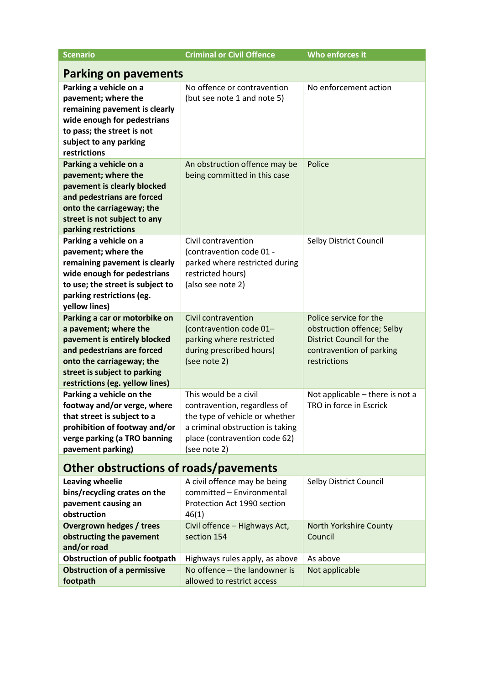| <b>Scenario</b>                                                                                                                                                                                                      | <b>Criminal or Civil Offence</b>                                                                                                                                             | Who enforces it                                                                                                                     |  |
|----------------------------------------------------------------------------------------------------------------------------------------------------------------------------------------------------------------------|------------------------------------------------------------------------------------------------------------------------------------------------------------------------------|-------------------------------------------------------------------------------------------------------------------------------------|--|
| <b>Parking on pavements</b>                                                                                                                                                                                          |                                                                                                                                                                              |                                                                                                                                     |  |
| Parking a vehicle on a<br>pavement; where the<br>remaining pavement is clearly<br>wide enough for pedestrians<br>to pass; the street is not<br>subject to any parking<br>restrictions                                | No offence or contravention<br>(but see note 1 and note 5)                                                                                                                   | No enforcement action                                                                                                               |  |
| Parking a vehicle on a<br>pavement; where the<br>pavement is clearly blocked<br>and pedestrians are forced<br>onto the carriageway; the<br>street is not subject to any<br>parking restrictions                      | An obstruction offence may be<br>being committed in this case                                                                                                                | Police                                                                                                                              |  |
| Parking a vehicle on a<br>pavement; where the<br>remaining pavement is clearly<br>wide enough for pedestrians<br>to use; the street is subject to<br>parking restrictions (eg.<br>yellow lines)                      | Civil contravention<br>(contravention code 01 -<br>parked where restricted during<br>restricted hours)<br>(also see note 2)                                                  | Selby District Council                                                                                                              |  |
| Parking a car or motorbike on<br>a pavement; where the<br>pavement is entirely blocked<br>and pedestrians are forced<br>onto the carriageway; the<br>street is subject to parking<br>restrictions (eg. yellow lines) | Civil contravention<br>(contravention code 01-<br>parking where restricted<br>during prescribed hours)<br>(see note 2)                                                       | Police service for the<br>obstruction offence; Selby<br><b>District Council for the</b><br>contravention of parking<br>restrictions |  |
| Parking a vehicle on the<br>footway and/or verge, where<br>that street is subject to a<br>prohibition of footway and/or<br>verge parking (a TRO banning<br>pavement parking)                                         | This would be a civil<br>contravention, regardless of<br>the type of vehicle or whether<br>a criminal obstruction is taking<br>place (contravention code 62)<br>(see note 2) | Not applicable - there is not a<br>TRO in force in Escrick                                                                          |  |
| <b>Other obstructions of roads/pavements</b>                                                                                                                                                                         |                                                                                                                                                                              |                                                                                                                                     |  |
| Leaving wheelie<br>bins/recycling crates on the<br>pavement causing an<br>obstruction                                                                                                                                | A civil offence may be being<br>committed - Environmental<br>Protection Act 1990 section<br>46(1)                                                                            | Selby District Council                                                                                                              |  |
| <b>Overgrown hedges / trees</b><br>obstructing the pavement<br>and/or road                                                                                                                                           | Civil offence - Highways Act,<br>section 154                                                                                                                                 | North Yorkshire County<br>Council                                                                                                   |  |
| <b>Obstruction of public footpath</b><br><b>Obstruction of a permissive</b><br>footpath                                                                                                                              | Highways rules apply, as above<br>No offence - the landowner is<br>allowed to restrict access                                                                                | As above<br>Not applicable                                                                                                          |  |